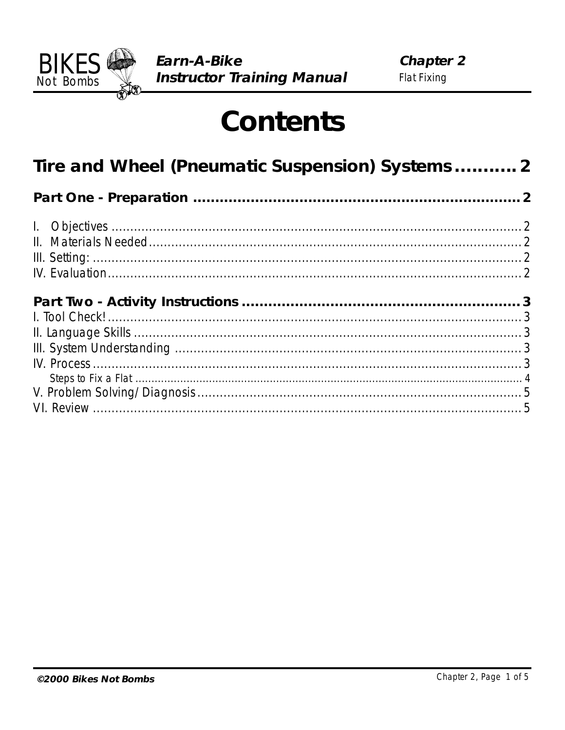

# **Contents**

| Tire and Wheel (Pneumatic Suspension) Systems 2 |  |
|-------------------------------------------------|--|
|                                                 |  |
|                                                 |  |
|                                                 |  |
|                                                 |  |
|                                                 |  |
|                                                 |  |
|                                                 |  |
|                                                 |  |
|                                                 |  |
|                                                 |  |
|                                                 |  |
|                                                 |  |
|                                                 |  |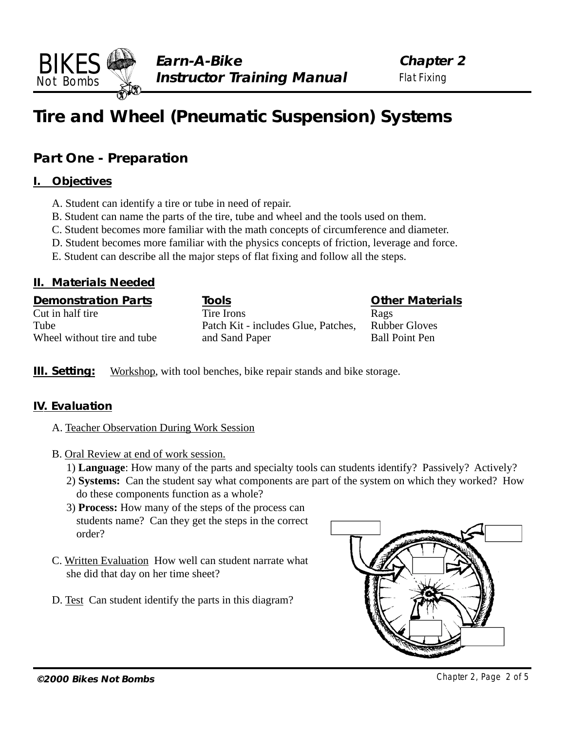## <span id="page-1-0"></span>**Tire and Wheel (Pneumatic Suspension) Systems**

## **Part One - Preparation**

#### **I. Objectives**

- A. Student can identify a tire or tube in need of repair.
- B. Student can name the parts of the tire, tube and wheel and the tools used on them.
- C. Student becomes more familiar with the math concepts of circumference and diameter.
- D. Student becomes more familiar with the physics concepts of friction, leverage and force.
- E. Student can describe all the major steps of flat fixing and follow all the steps.

#### **II. Materials Needed**

| <b>Demonstration Parts</b>  | Tools                               | <b>Other Materials</b> |
|-----------------------------|-------------------------------------|------------------------|
| Cut in half tire            | Tire Irons                          | Rags                   |
| Tube                        | Patch Kit - includes Glue, Patches, | <b>Rubber Gloves</b>   |
| Wheel without tire and tube | and Sand Paper                      | <b>Ball Point Pen</b>  |

**III. Setting:** Workshop, with tool benches, bike repair stands and bike storage.

#### **IV. Evaluation**

- A. Teacher Observation During Work Session
- B. Oral Review at end of work session.
	- 1) **Language**: How many of the parts and specialty tools can students identify? Passively? Actively?
	- 2) **Systems:** Can the student say what components are part of the system on which they worked? How do these components function as a whole?
	- 3) **Process:** How many of the steps of the process can students name? Can they get the steps in the correct order?
- C. Written Evaluation How well can student narrate what she did that day on her time sheet?
- D. Test Can student identify the parts in this diagram?

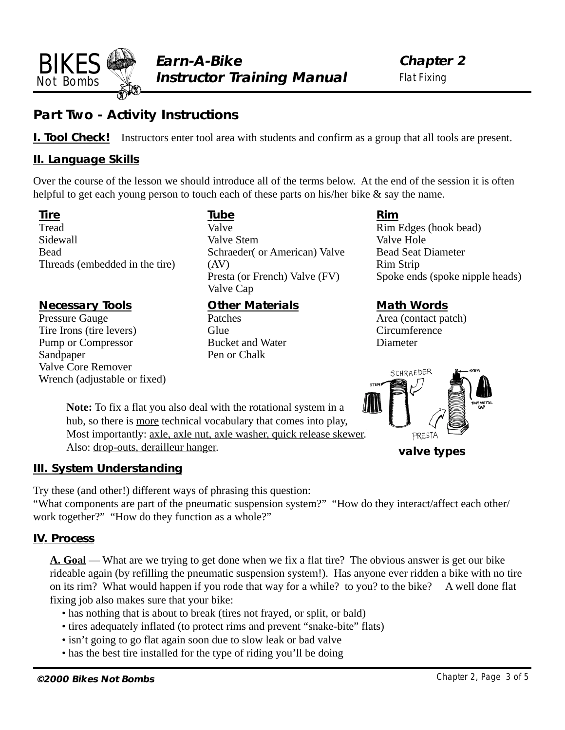<span id="page-2-0"></span>

**Chapter 2** Flat Fixing

## **Part Two - Activity Instructions**

**I. Tool Check!** Instructors enter tool area with students and confirm as a group that all tools are present.

#### **II. Language Skills**

Over the course of the lesson we should introduce all of the terms below. At the end of the session it is often helpful to get each young person to touch each of these parts on his/her bike  $\&$  say the name.

**Tire** Tread Sidewall Bead Threads (embedded in the tire)

#### **Necessary Tools**

Pressure Gauge Tire Irons (tire levers) Pump or Compressor Sandpaper Valve Core Remover Wrench (adjustable or fixed) **Tube** Valve Valve Stem Schraeder( or American) Valve (AV) Presta (or French) Valve (FV) Valve Cap

#### **Other Materials**

Patches **Glue** Bucket and Water Pen or Chalk

**Rim** Rim Edges (hook bead) Valve Hole Bead Seat Diameter Rim Strip Spoke ends (spoke nipple heads)

#### **Math Words**

Area (contact patch) **Circumference** Diameter



**valve types**

hub, so there is more technical vocabulary that comes into play, Most importantly: axle, axle nut, axle washer, quick release skewer. Also: drop-outs, derailleur hanger.

**Note:** To fix a flat you also deal with the rotational system in a

#### **III. System Understanding**

Try these (and other!) different ways of phrasing this question:

"What components are part of the pneumatic suspension system?" "How do they interact/affect each other/ work together?" "How do they function as a whole?"

#### **IV. Process**

**A. Goal** — What are we trying to get done when we fix a flat tire? The obvious answer is get our bike rideable again (by refilling the pneumatic suspension system!). Has anyone ever ridden a bike with no tire on its rim? What would happen if you rode that way for a while? to you? to the bike? A well done flat fixing job also makes sure that your bike:

- has nothing that is about to break (tires not frayed, or split, or bald)
- tires adequately inflated (to protect rims and prevent "snake-bite" flats)
- isn't going to go flat again soon due to slow leak or bad valve
- has the best tire installed for the type of riding you'll be doing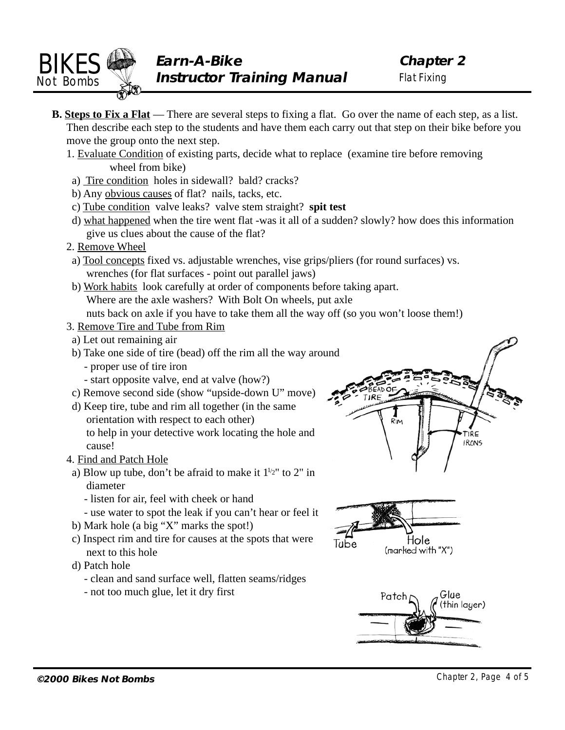<span id="page-3-0"></span>

- **B. Steps to Fix a Flat** There are several steps to fixing a flat. Go over the name of each step, as a list. Then describe each step to the students and have them each carry out that step on their bike before you move the group onto the next step.
	- 1. Evaluate Condition of existing parts, decide what to replace (examine tire before removing wheel from bike)
	- a) Tire condition holes in sidewall? bald? cracks?
	- b) Any obvious causes of flat? nails, tacks, etc.
	- c) Tube condition valve leaks? valve stem straight? **spit test**
	- d) what happened when the tire went flat -was it all of a sudden? slowly? how does this information give us clues about the cause of the flat?
	- 2. Remove Wheel
	- a) Tool concepts fixed vs. adjustable wrenches, vise grips/pliers (for round surfaces) vs. wrenches (for flat surfaces - point out parallel jaws)
	- b) Work habits look carefully at order of components before taking apart. Where are the axle washers? With Bolt On wheels, put axle nuts back on axle if you have to take them all the way off (so you won't loose them!)
	- 3. Remove Tire and Tube from Rim
	- a) Let out remaining air
	- b) Take one side of tire (bead) off the rim all the way around
		- proper use of tire iron
		- start opposite valve, end at valve (how?)
	- c) Remove second side (show "upside-down U" move)
	- d) Keep tire, tube and rim all together (in the same orientation with respect to each other) to help in your detective work locating the hole and cause!
	- 4. Find and Patch Hole
	- a) Blow up tube, don't be afraid to make it  $1^{1/2}$ " to 2" in diameter
		- listen for air, feel with cheek or hand
		- use water to spot the leak if you can't hear or feel it
	- b) Mark hole (a big "X" marks the spot!)
	- c) Inspect rim and tire for causes at the spots that were next to this hole
	- d) Patch hole
		- clean and sand surface well, flatten seams/ridges
		- not too much glue, let it dry first